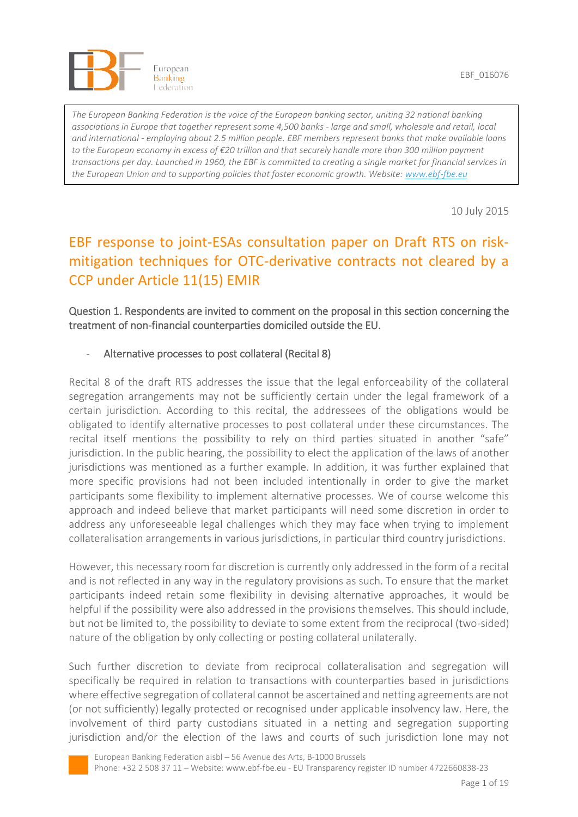

*The European Banking Federation is the voice of the European banking sector, uniting 32 national banking associations in Europe that together represent some 4,500 banks - large and small, wholesale and retail, local and international - employing about 2.5 million people. EBF members represent banks that make available loans to the European economy in excess of €20 trillion and that securely handle more than 300 million payment transactions per day. Launched in 1960, the EBF is committed to creating a single market for financial services in the European Union and to supporting policies that foster economic growth. Website: [www.ebf-fbe.eu](http://www.ebf-fbe.eu/)*

10 July 2015

# EBF response to joint-ESAs consultation paper on Draft RTS on riskmitigation techniques for OTC-derivative contracts not cleared by a CCP under Article 11(15) EMIR

## Question 1. Respondents are invited to comment on the proposal in this section concerning the treatment of non-financial counterparties domiciled outside the EU.

## Alternative processes to post collateral (Recital 8)

Recital 8 of the draft RTS addresses the issue that the legal enforceability of the collateral segregation arrangements may not be sufficiently certain under the legal framework of a certain jurisdiction. According to this recital, the addressees of the obligations would be obligated to identify alternative processes to post collateral under these circumstances. The recital itself mentions the possibility to rely on third parties situated in another "safe" jurisdiction. In the public hearing, the possibility to elect the application of the laws of another jurisdictions was mentioned as a further example. In addition, it was further explained that more specific provisions had not been included intentionally in order to give the market participants some flexibility to implement alternative processes. We of course welcome this approach and indeed believe that market participants will need some discretion in order to address any unforeseeable legal challenges which they may face when trying to implement collateralisation arrangements in various jurisdictions, in particular third country jurisdictions.

However, this necessary room for discretion is currently only addressed in the form of a recital and is not reflected in any way in the regulatory provisions as such. To ensure that the market participants indeed retain some flexibility in devising alternative approaches, it would be helpful if the possibility were also addressed in the provisions themselves. This should include, but not be limited to, the possibility to deviate to some extent from the reciprocal (two-sided) nature of the obligation by only collecting or posting collateral unilaterally.

Such further discretion to deviate from reciprocal collateralisation and segregation will specifically be required in relation to transactions with counterparties based in jurisdictions where effective segregation of collateral cannot be ascertained and netting agreements are not (or not sufficiently) legally protected or recognised under applicable insolvency law. Here, the involvement of third party custodians situated in a netting and segregation supporting jurisdiction and/or the election of the laws and courts of such jurisdiction lone may not

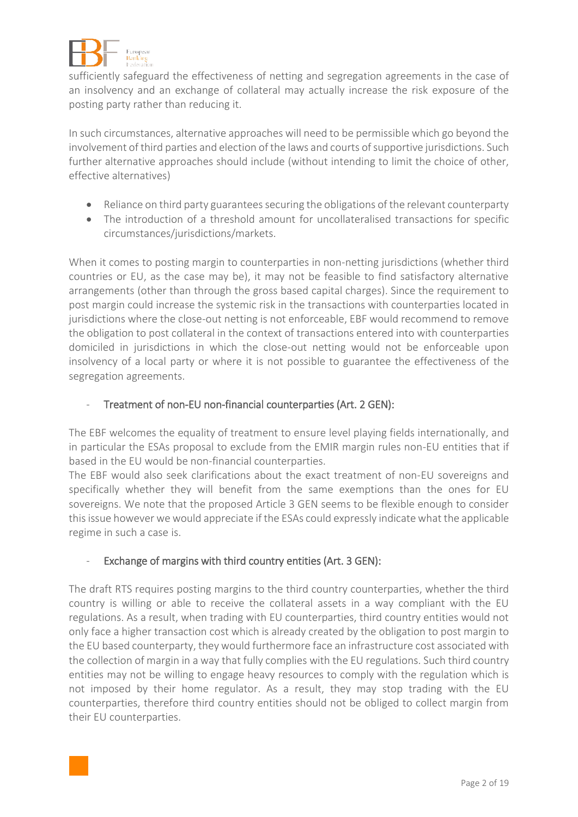

sufficiently safeguard the effectiveness of netting and segregation agreements in the case of an insolvency and an exchange of collateral may actually increase the risk exposure of the posting party rather than reducing it.

In such circumstances, alternative approaches will need to be permissible which go beyond the involvement of third parties and election of the laws and courts of supportive jurisdictions. Such further alternative approaches should include (without intending to limit the choice of other, effective alternatives)

- Reliance on third party guarantees securing the obligations of the relevant counterparty
- The introduction of a threshold amount for uncollateralised transactions for specific circumstances/jurisdictions/markets.

When it comes to posting margin to counterparties in non-netting jurisdictions (whether third countries or EU, as the case may be), it may not be feasible to find satisfactory alternative arrangements (other than through the gross based capital charges). Since the requirement to post margin could increase the systemic risk in the transactions with counterparties located in jurisdictions where the close-out netting is not enforceable, EBF would recommend to remove the obligation to post collateral in the context of transactions entered into with counterparties domiciled in jurisdictions in which the close-out netting would not be enforceable upon insolvency of a local party or where it is not possible to guarantee the effectiveness of the segregation agreements.

# Treatment of non-EU non-financial counterparties (Art. 2 GEN):

The EBF welcomes the equality of treatment to ensure level playing fields internationally, and in particular the ESAs proposal to exclude from the EMIR margin rules non-EU entities that if based in the EU would be non-financial counterparties.

The EBF would also seek clarifications about the exact treatment of non-EU sovereigns and specifically whether they will benefit from the same exemptions than the ones for EU sovereigns. We note that the proposed Article 3 GEN seems to be flexible enough to consider this issue however we would appreciate if the ESAs could expressly indicate what the applicable regime in such a case is.

# Exchange of margins with third country entities (Art. 3 GEN):

The draft RTS requires posting margins to the third country counterparties, whether the third country is willing or able to receive the collateral assets in a way compliant with the EU regulations. As a result, when trading with EU counterparties, third country entities would not only face a higher transaction cost which is already created by the obligation to post margin to the EU based counterparty, they would furthermore face an infrastructure cost associated with the collection of margin in a way that fully complies with the EU regulations. Such third country entities may not be willing to engage heavy resources to comply with the regulation which is not imposed by their home regulator. As a result, they may stop trading with the EU counterparties, therefore third country entities should not be obliged to collect margin from their EU counterparties.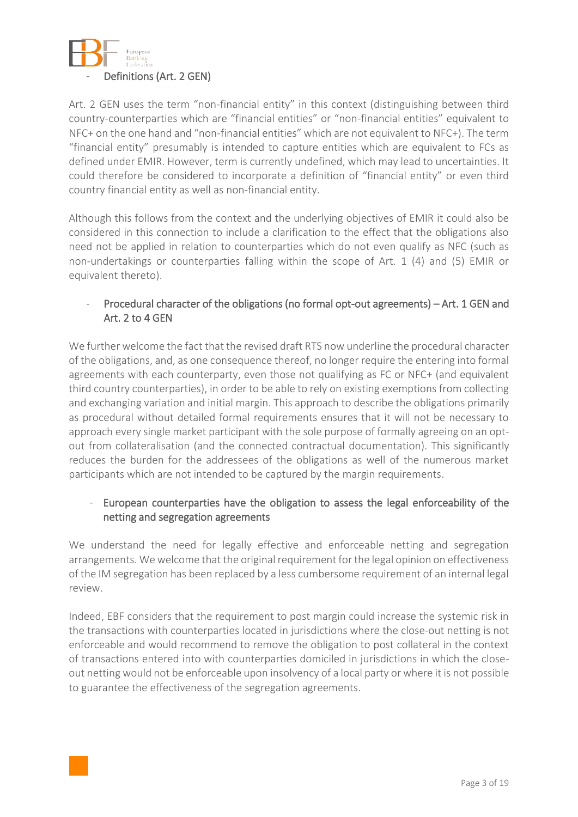

Art. 2 GEN uses the term "non-financial entity" in this context (distinguishing between third country-counterparties which are "financial entities" or "non-financial entities" equivalent to NFC+ on the one hand and "non-financial entities" which are not equivalent to NFC+). The term "financial entity" presumably is intended to capture entities which are equivalent to FCs as defined under EMIR. However, term is currently undefined, which may lead to uncertainties. It could therefore be considered to incorporate a definition of "financial entity" or even third country financial entity as well as non-financial entity.

Although this follows from the context and the underlying objectives of EMIR it could also be considered in this connection to include a clarification to the effect that the obligations also need not be applied in relation to counterparties which do not even qualify as NFC (such as non-undertakings or counterparties falling within the scope of Art. 1 (4) and (5) EMIR or equivalent thereto).

## - Procedural character of the obligations (no formal opt-out agreements) – Art. 1 GEN and Art. 2 to 4 GEN

We further welcome the fact that the revised draft RTS now underline the procedural character of the obligations, and, as one consequence thereof, no longer require the entering into formal agreements with each counterparty, even those not qualifying as FC or NFC+ (and equivalent third country counterparties), in order to be able to rely on existing exemptions from collecting and exchanging variation and initial margin. This approach to describe the obligations primarily as procedural without detailed formal requirements ensures that it will not be necessary to approach every single market participant with the sole purpose of formally agreeing on an optout from collateralisation (and the connected contractual documentation). This significantly reduces the burden for the addressees of the obligations as well of the numerous market participants which are not intended to be captured by the margin requirements.

## - European counterparties have the obligation to assess the legal enforceability of the netting and segregation agreements

We understand the need for legally effective and enforceable netting and segregation arrangements. We welcome that the original requirement for the legal opinion on effectiveness of the IM segregation has been replaced by a less cumbersome requirement of an internal legal review.

Indeed, EBF considers that the requirement to post margin could increase the systemic risk in the transactions with counterparties located in jurisdictions where the close-out netting is not enforceable and would recommend to remove the obligation to post collateral in the context of transactions entered into with counterparties domiciled in jurisdictions in which the closeout netting would not be enforceable upon insolvency of a local party or where it is not possible to guarantee the effectiveness of the segregation agreements.

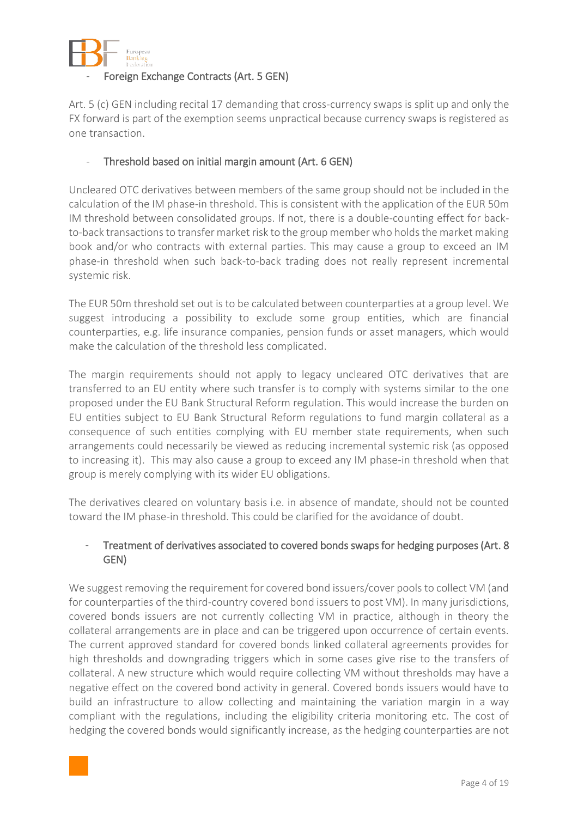

## Foreign Exchange Contracts (Art. 5 GEN)

Art. 5 (c) GEN including recital 17 demanding that cross-currency swaps is split up and only the FX forward is part of the exemption seems unpractical because currency swaps is registered as one transaction.

## Threshold based on initial margin amount (Art. 6 GEN)

Uncleared OTC derivatives between members of the same group should not be included in the calculation of the IM phase-in threshold. This is consistent with the application of the EUR 50m IM threshold between consolidated groups. If not, there is a double-counting effect for backto-back transactions to transfer market risk to the group member who holds the market making book and/or who contracts with external parties. This may cause a group to exceed an IM phase-in threshold when such back-to-back trading does not really represent incremental systemic risk.

The EUR 50m threshold set out is to be calculated between counterparties at a group level. We suggest introducing a possibility to exclude some group entities, which are financial counterparties, e.g. life insurance companies, pension funds or asset managers, which would make the calculation of the threshold less complicated.

The margin requirements should not apply to legacy uncleared OTC derivatives that are transferred to an EU entity where such transfer is to comply with systems similar to the one proposed under the EU Bank Structural Reform regulation. This would increase the burden on EU entities subject to EU Bank Structural Reform regulations to fund margin collateral as a consequence of such entities complying with EU member state requirements, when such arrangements could necessarily be viewed as reducing incremental systemic risk (as opposed to increasing it). This may also cause a group to exceed any IM phase-in threshold when that group is merely complying with its wider EU obligations.

The derivatives cleared on voluntary basis i.e. in absence of mandate, should not be counted toward the IM phase-in threshold. This could be clarified for the avoidance of doubt.

#### Treatment of derivatives associated to covered bonds swaps for hedging purposes (Art. 8 GEN)

We suggest removing the requirement for covered bond issuers/cover pools to collect VM (and for counterparties of the third-country covered bond issuers to post VM). In many jurisdictions, covered bonds issuers are not currently collecting VM in practice, although in theory the collateral arrangements are in place and can be triggered upon occurrence of certain events. The current approved standard for covered bonds linked collateral agreements provides for high thresholds and downgrading triggers which in some cases give rise to the transfers of collateral. A new structure which would require collecting VM without thresholds may have a negative effect on the covered bond activity in general. Covered bonds issuers would have to build an infrastructure to allow collecting and maintaining the variation margin in a way compliant with the regulations, including the eligibility criteria monitoring etc. The cost of hedging the covered bonds would significantly increase, as the hedging counterparties are not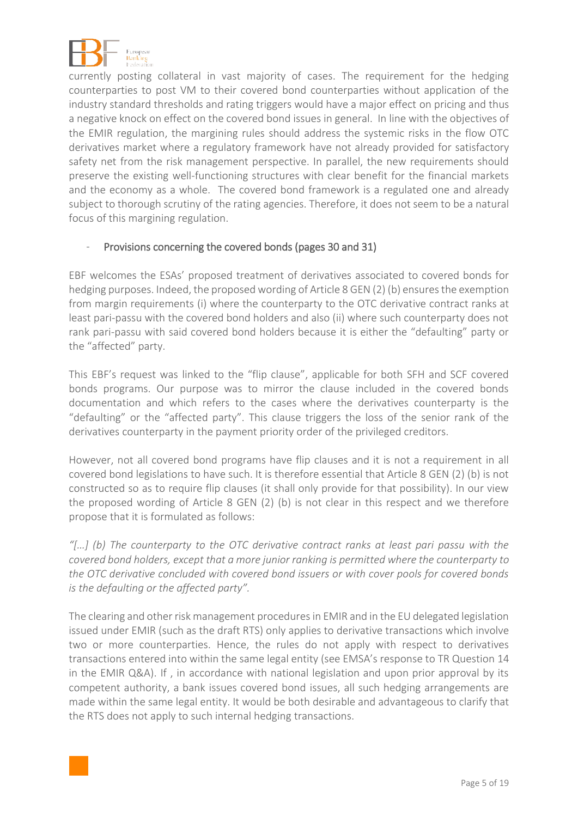

currently posting collateral in vast majority of cases. The requirement for the hedging counterparties to post VM to their covered bond counterparties without application of the industry standard thresholds and rating triggers would have a major effect on pricing and thus a negative knock on effect on the covered bond issues in general. In line with the objectives of the EMIR regulation, the margining rules should address the systemic risks in the flow OTC derivatives market where a regulatory framework have not already provided for satisfactory safety net from the risk management perspective. In parallel, the new requirements should preserve the existing well-functioning structures with clear benefit for the financial markets and the economy as a whole. The covered bond framework is a regulated one and already subject to thorough scrutiny of the rating agencies. Therefore, it does not seem to be a natural focus of this margining regulation.

#### Provisions concerning the covered bonds (pages 30 and 31)

EBF welcomes the ESAs' proposed treatment of derivatives associated to covered bonds for hedging purposes. Indeed, the proposed wording of Article 8 GEN (2) (b) ensures the exemption from margin requirements (i) where the counterparty to the OTC derivative contract ranks at least pari-passu with the covered bond holders and also (ii) where such counterparty does not rank pari-passu with said covered bond holders because it is either the "defaulting" party or the "affected" party.

This EBF's request was linked to the "flip clause", applicable for both SFH and SCF covered bonds programs. Our purpose was to mirror the clause included in the covered bonds documentation and which refers to the cases where the derivatives counterparty is the "defaulting" or the "affected party". This clause triggers the loss of the senior rank of the derivatives counterparty in the payment priority order of the privileged creditors.

However, not all covered bond programs have flip clauses and it is not a requirement in all covered bond legislations to have such. It is therefore essential that Article 8 GEN (2) (b) is not constructed so as to require flip clauses (it shall only provide for that possibility). In our view the proposed wording of Article 8 GEN (2) (b) is not clear in this respect and we therefore propose that it is formulated as follows:

*"[…] (b) The counterparty to the OTC derivative contract ranks at least pari passu with the covered bond holders, except that a more junior ranking is permitted where the counterparty to the OTC derivative concluded with covered bond issuers or with cover pools for covered bonds is the defaulting or the affected party".*

The clearing and other risk management procedures in EMIR and in the EU delegated legislation issued under EMIR (such as the draft RTS) only applies to derivative transactions which involve two or more counterparties. Hence, the rules do not apply with respect to derivatives transactions entered into within the same legal entity (see EMSA's response to TR Question 14 in the EMIR Q&A). If , in accordance with national legislation and upon prior approval by its competent authority, a bank issues covered bond issues, all such hedging arrangements are made within the same legal entity. It would be both desirable and advantageous to clarify that the RTS does not apply to such internal hedging transactions.

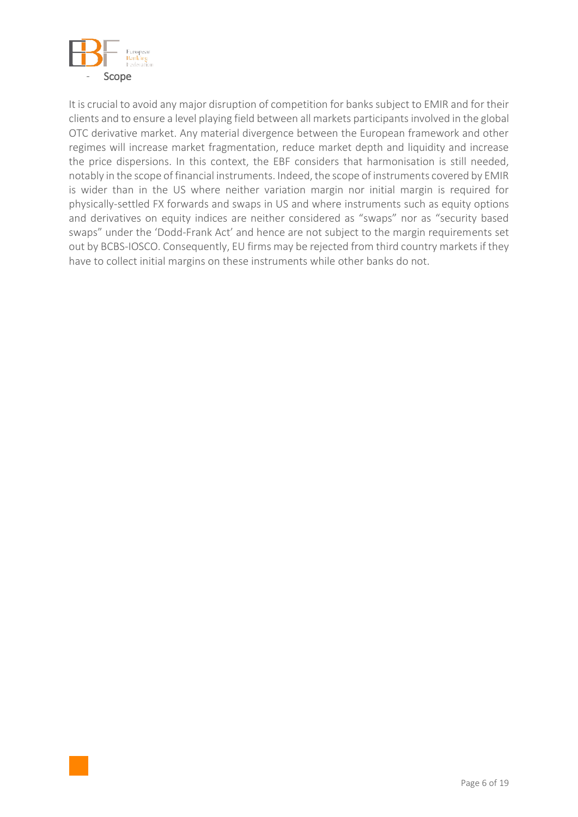

It is crucial to avoid any major disruption of competition for banks subject to EMIR and for their clients and to ensure a level playing field between all markets participants involved in the global OTC derivative market. Any material divergence between the European framework and other regimes will increase market fragmentation, reduce market depth and liquidity and increase the price dispersions. In this context, the EBF considers that harmonisation is still needed, notably in the scope of financial instruments. Indeed, the scope of instruments covered by EMIR is wider than in the US where neither variation margin nor initial margin is required for physically-settled FX forwards and swaps in US and where instruments such as equity options and derivatives on equity indices are neither considered as "swaps" nor as "security based swaps" under the 'Dodd-Frank Act' and hence are not subject to the margin requirements set out by BCBS-IOSCO. Consequently, EU firms may be rejected from third country markets if they have to collect initial margins on these instruments while other banks do not.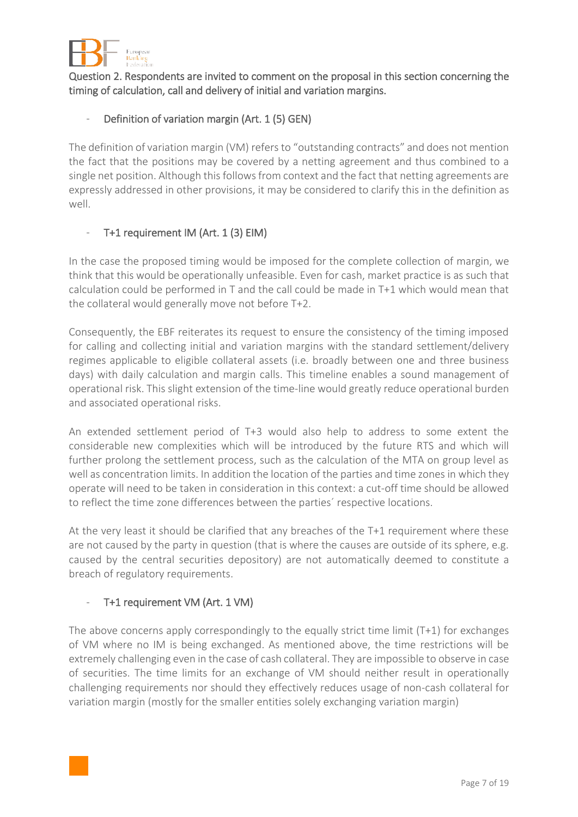

Question 2. Respondents are invited to comment on the proposal in this section concerning the timing of calculation, call and delivery of initial and variation margins.

# Definition of variation margin (Art. 1 (5) GEN)

The definition of variation margin (VM) refers to "outstanding contracts" and does not mention the fact that the positions may be covered by a netting agreement and thus combined to a single net position. Although this follows from context and the fact that netting agreements are expressly addressed in other provisions, it may be considered to clarify this in the definition as well.

## - T+1 requirement IM (Art. 1 (3) EIM)

In the case the proposed timing would be imposed for the complete collection of margin, we think that this would be operationally unfeasible. Even for cash, market practice is as such that calculation could be performed in T and the call could be made in T+1 which would mean that the collateral would generally move not before T+2.

Consequently, the EBF reiterates its request to ensure the consistency of the timing imposed for calling and collecting initial and variation margins with the standard settlement/delivery regimes applicable to eligible collateral assets (i.e. broadly between one and three business days) with daily calculation and margin calls. This timeline enables a sound management of operational risk. This slight extension of the time-line would greatly reduce operational burden and associated operational risks.

An extended settlement period of T+3 would also help to address to some extent the considerable new complexities which will be introduced by the future RTS and which will further prolong the settlement process, such as the calculation of the MTA on group level as well as concentration limits. In addition the location of the parties and time zones in which they operate will need to be taken in consideration in this context: a cut-off time should be allowed to reflect the time zone differences between the parties´ respective locations.

At the very least it should be clarified that any breaches of the T+1 requirement where these are not caused by the party in question (that is where the causes are outside of its sphere, e.g. caused by the central securities depository) are not automatically deemed to constitute a breach of regulatory requirements.

#### T+1 requirement VM (Art. 1 VM)

The above concerns apply correspondingly to the equally strict time limit (T+1) for exchanges of VM where no IM is being exchanged. As mentioned above, the time restrictions will be extremely challenging even in the case of cash collateral. They are impossible to observe in case of securities. The time limits for an exchange of VM should neither result in operationally challenging requirements nor should they effectively reduces usage of non-cash collateral for variation margin (mostly for the smaller entities solely exchanging variation margin)

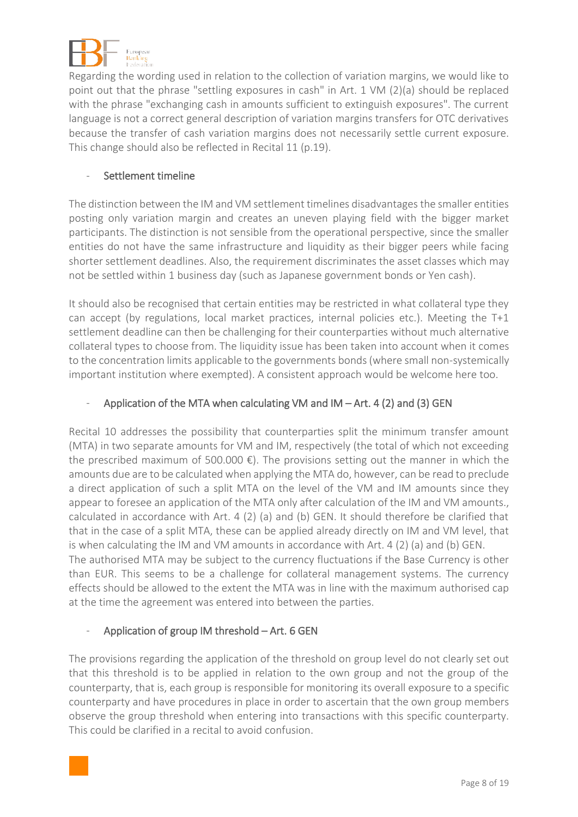

Regarding the wording used in relation to the collection of variation margins, we would like to point out that the phrase "settling exposures in cash" in Art. 1 VM (2)(a) should be replaced with the phrase "exchanging cash in amounts sufficient to extinguish exposures". The current language is not a correct general description of variation margins transfers for OTC derivatives because the transfer of cash variation margins does not necessarily settle current exposure. This change should also be reflected in Recital 11 (p.19).

#### - Settlement timeline

The distinction between the IM and VM settlement timelines disadvantages the smaller entities posting only variation margin and creates an uneven playing field with the bigger market participants. The distinction is not sensible from the operational perspective, since the smaller entities do not have the same infrastructure and liquidity as their bigger peers while facing shorter settlement deadlines. Also, the requirement discriminates the asset classes which may not be settled within 1 business day (such as Japanese government bonds or Yen cash).

It should also be recognised that certain entities may be restricted in what collateral type they can accept (by regulations, local market practices, internal policies etc.). Meeting the T+1 settlement deadline can then be challenging for their counterparties without much alternative collateral types to choose from. The liquidity issue has been taken into account when it comes to the concentration limits applicable to the governments bonds (where small non-systemically important institution where exempted). A consistent approach would be welcome here too.

## Application of the MTA when calculating VM and  $IM - Art. 4 (2)$  and (3) GEN

Recital 10 addresses the possibility that counterparties split the minimum transfer amount (MTA) in two separate amounts for VM and IM, respectively (the total of which not exceeding the prescribed maximum of 500.000  $\epsilon$ ). The provisions setting out the manner in which the amounts due are to be calculated when applying the MTA do, however, can be read to preclude a direct application of such a split MTA on the level of the VM and IM amounts since they appear to foresee an application of the MTA only after calculation of the IM and VM amounts., calculated in accordance with Art. 4 (2) (a) and (b) GEN. It should therefore be clarified that that in the case of a split MTA, these can be applied already directly on IM and VM level, that is when calculating the IM and VM amounts in accordance with Art. 4 (2) (a) and (b) GEN. The authorised MTA may be subject to the currency fluctuations if the Base Currency is other than EUR. This seems to be a challenge for collateral management systems. The currency effects should be allowed to the extent the MTA was in line with the maximum authorised cap at the time the agreement was entered into between the parties.

#### Application of group IM threshold – Art. 6 GEN

The provisions regarding the application of the threshold on group level do not clearly set out that this threshold is to be applied in relation to the own group and not the group of the counterparty, that is, each group is responsible for monitoring its overall exposure to a specific counterparty and have procedures in place in order to ascertain that the own group members observe the group threshold when entering into transactions with this specific counterparty. This could be clarified in a recital to avoid confusion.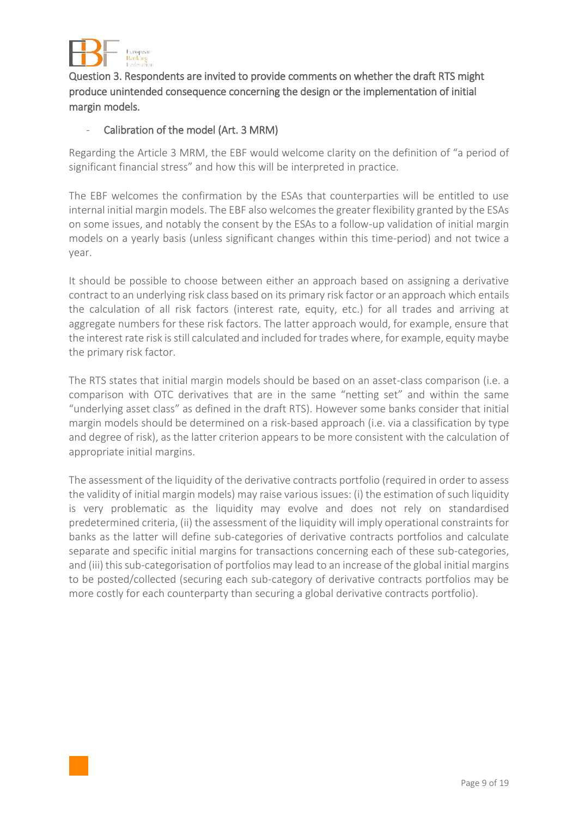

Question 3. Respondents are invited to provide comments on whether the draft RTS might produce unintended consequence concerning the design or the implementation of initial margin models.

#### Calibration of the model (Art. 3 MRM)

Regarding the Article 3 MRM, the EBF would welcome clarity on the definition of "a period of significant financial stress" and how this will be interpreted in practice.

The EBF welcomes the confirmation by the ESAs that counterparties will be entitled to use internal initial margin models. The EBF also welcomes the greater flexibility granted by the ESAs on some issues, and notably the consent by the ESAs to a follow-up validation of initial margin models on a yearly basis (unless significant changes within this time-period) and not twice a year.

It should be possible to choose between either an approach based on assigning a derivative contract to an underlying risk class based on its primary risk factor or an approach which entails the calculation of all risk factors (interest rate, equity, etc.) for all trades and arriving at aggregate numbers for these risk factors. The latter approach would, for example, ensure that the interest rate risk is still calculated and included for trades where, for example, equity maybe the primary risk factor.

The RTS states that initial margin models should be based on an asset-class comparison (i.e. a comparison with OTC derivatives that are in the same "netting set" and within the same "underlying asset class" as defined in the draft RTS). However some banks consider that initial margin models should be determined on a risk-based approach (i.e. via a classification by type and degree of risk), as the latter criterion appears to be more consistent with the calculation of appropriate initial margins.

The assessment of the liquidity of the derivative contracts portfolio (required in order to assess the validity of initial margin models) may raise various issues: (i) the estimation of such liquidity is very problematic as the liquidity may evolve and does not rely on standardised predetermined criteria, (ii) the assessment of the liquidity will imply operational constraints for banks as the latter will define sub-categories of derivative contracts portfolios and calculate separate and specific initial margins for transactions concerning each of these sub-categories, and (iii) this sub-categorisation of portfolios may lead to an increase of the global initial margins to be posted/collected (securing each sub-category of derivative contracts portfolios may be more costly for each counterparty than securing a global derivative contracts portfolio).

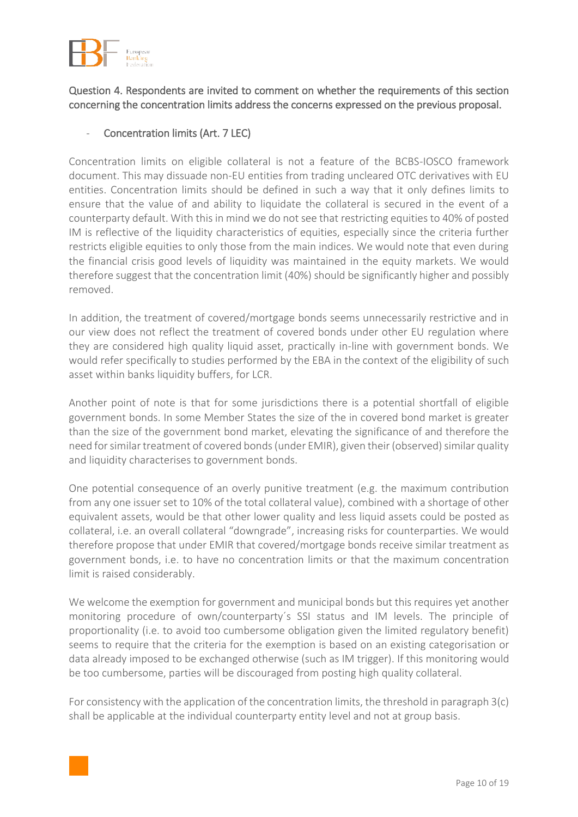

## Question 4. Respondents are invited to comment on whether the requirements of this section concerning the concentration limits address the concerns expressed on the previous proposal.

# Concentration limits (Art. 7 LEC)

Concentration limits on eligible collateral is not a feature of the BCBS-IOSCO framework document. This may dissuade non-EU entities from trading uncleared OTC derivatives with EU entities. Concentration limits should be defined in such a way that it only defines limits to ensure that the value of and ability to liquidate the collateral is secured in the event of a counterparty default. With this in mind we do not see that restricting equities to 40% of posted IM is reflective of the liquidity characteristics of equities, especially since the criteria further restricts eligible equities to only those from the main indices. We would note that even during the financial crisis good levels of liquidity was maintained in the equity markets. We would therefore suggest that the concentration limit (40%) should be significantly higher and possibly removed.

In addition, the treatment of covered/mortgage bonds seems unnecessarily restrictive and in our view does not reflect the treatment of covered bonds under other EU regulation where they are considered high quality liquid asset, practically in-line with government bonds. We would refer specifically to studies performed by the EBA in the context of the eligibility of such asset within banks liquidity buffers, for LCR.

Another point of note is that for some jurisdictions there is a potential shortfall of eligible government bonds. In some Member States the size of the in covered bond market is greater than the size of the government bond market, elevating the significance of and therefore the need for similar treatment of covered bonds (under EMIR), given their (observed) similar quality and liquidity characterises to government bonds.

One potential consequence of an overly punitive treatment (e.g. the maximum contribution from any one issuer set to 10% of the total collateral value), combined with a shortage of other equivalent assets, would be that other lower quality and less liquid assets could be posted as collateral, i.e. an overall collateral "downgrade", increasing risks for counterparties. We would therefore propose that under EMIR that covered/mortgage bonds receive similar treatment as government bonds, i.e. to have no concentration limits or that the maximum concentration limit is raised considerably.

We welcome the exemption for government and municipal bonds but this requires yet another monitoring procedure of own/counterparty´s SSI status and IM levels. The principle of proportionality (i.e. to avoid too cumbersome obligation given the limited regulatory benefit) seems to require that the criteria for the exemption is based on an existing categorisation or data already imposed to be exchanged otherwise (such as IM trigger). If this monitoring would be too cumbersome, parties will be discouraged from posting high quality collateral.

For consistency with the application of the concentration limits, the threshold in paragraph 3(c) shall be applicable at the individual counterparty entity level and not at group basis.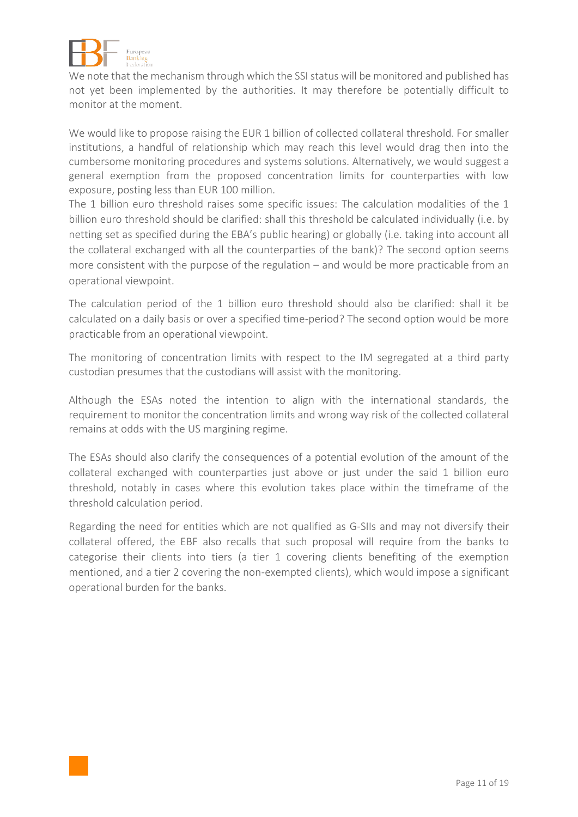

We note that the mechanism through which the SSI status will be monitored and published has not yet been implemented by the authorities. It may therefore be potentially difficult to monitor at the moment.

We would like to propose raising the EUR 1 billion of collected collateral threshold. For smaller institutions, a handful of relationship which may reach this level would drag then into the cumbersome monitoring procedures and systems solutions. Alternatively, we would suggest a general exemption from the proposed concentration limits for counterparties with low exposure, posting less than EUR 100 million.

The 1 billion euro threshold raises some specific issues: The calculation modalities of the 1 billion euro threshold should be clarified: shall this threshold be calculated individually (i.e. by netting set as specified during the EBA's public hearing) or globally (i.e. taking into account all the collateral exchanged with all the counterparties of the bank)? The second option seems more consistent with the purpose of the regulation – and would be more practicable from an operational viewpoint.

The calculation period of the 1 billion euro threshold should also be clarified: shall it be calculated on a daily basis or over a specified time-period? The second option would be more practicable from an operational viewpoint.

The monitoring of concentration limits with respect to the IM segregated at a third party custodian presumes that the custodians will assist with the monitoring.

Although the ESAs noted the intention to align with the international standards, the requirement to monitor the concentration limits and wrong way risk of the collected collateral remains at odds with the US margining regime.

The ESAs should also clarify the consequences of a potential evolution of the amount of the collateral exchanged with counterparties just above or just under the said 1 billion euro threshold, notably in cases where this evolution takes place within the timeframe of the threshold calculation period.

Regarding the need for entities which are not qualified as G-SIIs and may not diversify their collateral offered, the EBF also recalls that such proposal will require from the banks to categorise their clients into tiers (a tier 1 covering clients benefiting of the exemption mentioned, and a tier 2 covering the non-exempted clients), which would impose a significant operational burden for the banks.

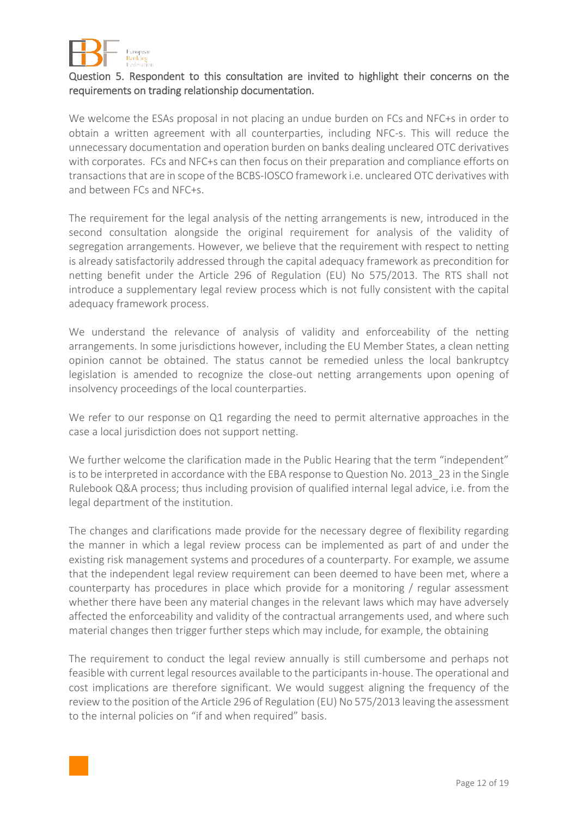

## Question 5. Respondent to this consultation are invited to highlight their concerns on the requirements on trading relationship documentation.

We welcome the ESAs proposal in not placing an undue burden on FCs and NFC+s in order to obtain a written agreement with all counterparties, including NFC-s. This will reduce the unnecessary documentation and operation burden on banks dealing uncleared OTC derivatives with corporates. FCs and NFC+s can then focus on their preparation and compliance efforts on transactions that are in scope of the BCBS-IOSCO framework i.e. uncleared OTC derivatives with and between FCs and NFC+s.

The requirement for the legal analysis of the netting arrangements is new, introduced in the second consultation alongside the original requirement for analysis of the validity of segregation arrangements. However, we believe that the requirement with respect to netting is already satisfactorily addressed through the capital adequacy framework as precondition for netting benefit under the Article 296 of Regulation (EU) No 575/2013. The RTS shall not introduce a supplementary legal review process which is not fully consistent with the capital adequacy framework process.

We understand the relevance of analysis of validity and enforceability of the netting arrangements. In some jurisdictions however, including the EU Member States, a clean netting opinion cannot be obtained. The status cannot be remedied unless the local bankruptcy legislation is amended to recognize the close-out netting arrangements upon opening of insolvency proceedings of the local counterparties.

We refer to our response on Q1 regarding the need to permit alternative approaches in the case a local jurisdiction does not support netting.

We further welcome the clarification made in the Public Hearing that the term "independent" is to be interpreted in accordance with the EBA response to Question No. 2013 23 in the Single Rulebook Q&A process; thus including provision of qualified internal legal advice, i.e. from the legal department of the institution.

The changes and clarifications made provide for the necessary degree of flexibility regarding the manner in which a legal review process can be implemented as part of and under the existing risk management systems and procedures of a counterparty. For example, we assume that the independent legal review requirement can been deemed to have been met, where a counterparty has procedures in place which provide for a monitoring / regular assessment whether there have been any material changes in the relevant laws which may have adversely affected the enforceability and validity of the contractual arrangements used, and where such material changes then trigger further steps which may include, for example, the obtaining

The requirement to conduct the legal review annually is still cumbersome and perhaps not feasible with current legal resources available to the participants in-house. The operational and cost implications are therefore significant. We would suggest aligning the frequency of the review to the position of the Article 296 of Regulation (EU) No 575/2013 leaving the assessment to the internal policies on "if and when required" basis.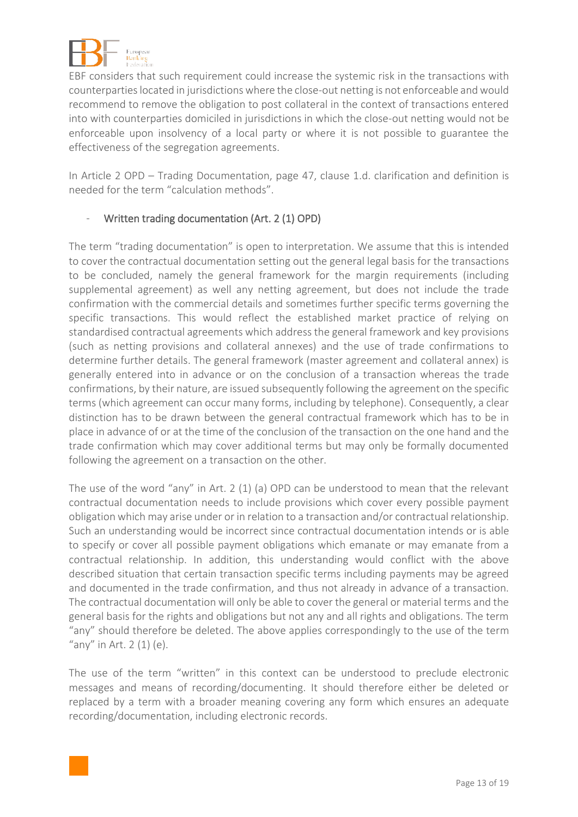

EBF considers that such requirement could increase the systemic risk in the transactions with counterparties located in jurisdictions where the close-out netting is not enforceable and would recommend to remove the obligation to post collateral in the context of transactions entered into with counterparties domiciled in jurisdictions in which the close-out netting would not be enforceable upon insolvency of a local party or where it is not possible to guarantee the effectiveness of the segregation agreements.

In Article 2 OPD – Trading Documentation, page 47, clause 1.d. clarification and definition is needed for the term "calculation methods".

## Written trading documentation (Art. 2 (1) OPD)

The term "trading documentation" is open to interpretation. We assume that this is intended to cover the contractual documentation setting out the general legal basis for the transactions to be concluded, namely the general framework for the margin requirements (including supplemental agreement) as well any netting agreement, but does not include the trade confirmation with the commercial details and sometimes further specific terms governing the specific transactions. This would reflect the established market practice of relying on standardised contractual agreements which address the general framework and key provisions (such as netting provisions and collateral annexes) and the use of trade confirmations to determine further details. The general framework (master agreement and collateral annex) is generally entered into in advance or on the conclusion of a transaction whereas the trade confirmations, by their nature, are issued subsequently following the agreement on the specific terms (which agreement can occur many forms, including by telephone). Consequently, a clear distinction has to be drawn between the general contractual framework which has to be in place in advance of or at the time of the conclusion of the transaction on the one hand and the trade confirmation which may cover additional terms but may only be formally documented following the agreement on a transaction on the other.

The use of the word "any" in Art. 2 (1) (a) OPD can be understood to mean that the relevant contractual documentation needs to include provisions which cover every possible payment obligation which may arise under or in relation to a transaction and/or contractual relationship. Such an understanding would be incorrect since contractual documentation intends or is able to specify or cover all possible payment obligations which emanate or may emanate from a contractual relationship. In addition, this understanding would conflict with the above described situation that certain transaction specific terms including payments may be agreed and documented in the trade confirmation, and thus not already in advance of a transaction. The contractual documentation will only be able to cover the general or material terms and the general basis for the rights and obligations but not any and all rights and obligations. The term "any" should therefore be deleted. The above applies correspondingly to the use of the term "any" in Art.  $2(1)(e)$ .

The use of the term "written" in this context can be understood to preclude electronic messages and means of recording/documenting. It should therefore either be deleted or replaced by a term with a broader meaning covering any form which ensures an adequate recording/documentation, including electronic records.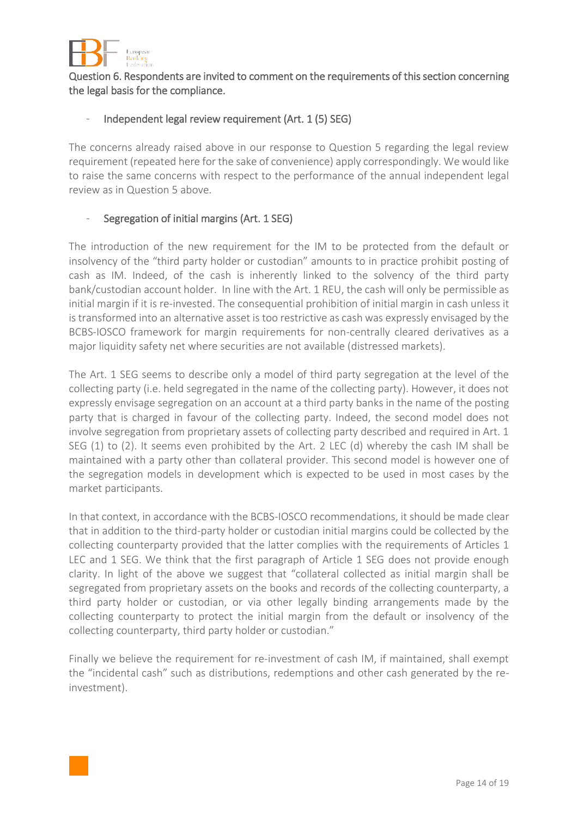

Question 6. Respondents are invited to comment on the requirements of this section concerning the legal basis for the compliance.

## Independent legal review requirement (Art. 1 (5) SEG)

The concerns already raised above in our response to Question 5 regarding the legal review requirement (repeated here for the sake of convenience) apply correspondingly. We would like to raise the same concerns with respect to the performance of the annual independent legal review as in Question 5 above.

#### Segregation of initial margins (Art. 1 SEG)

The introduction of the new requirement for the IM to be protected from the default or insolvency of the "third party holder or custodian" amounts to in practice prohibit posting of cash as IM. Indeed, of the cash is inherently linked to the solvency of the third party bank/custodian account holder. In line with the Art. 1 REU, the cash will only be permissible as initial margin if it is re-invested. The consequential prohibition of initial margin in cash unless it is transformed into an alternative asset is too restrictive as cash was expressly envisaged by the BCBS-IOSCO framework for margin requirements for non-centrally cleared derivatives as a major liquidity safety net where securities are not available (distressed markets).

The Art. 1 SEG seems to describe only a model of third party segregation at the level of the collecting party (i.e. held segregated in the name of the collecting party). However, it does not expressly envisage segregation on an account at a third party banks in the name of the posting party that is charged in favour of the collecting party. Indeed, the second model does not involve segregation from proprietary assets of collecting party described and required in Art. 1 SEG (1) to (2). It seems even prohibited by the Art. 2 LEC (d) whereby the cash IM shall be maintained with a party other than collateral provider. This second model is however one of the segregation models in development which is expected to be used in most cases by the market participants.

In that context, in accordance with the BCBS-IOSCO recommendations, it should be made clear that in addition to the third-party holder or custodian initial margins could be collected by the collecting counterparty provided that the latter complies with the requirements of Articles 1 LEC and 1 SEG. We think that the first paragraph of Article 1 SEG does not provide enough clarity. In light of the above we suggest that "collateral collected as initial margin shall be segregated from proprietary assets on the books and records of the collecting counterparty, a third party holder or custodian, or via other legally binding arrangements made by the collecting counterparty to protect the initial margin from the default or insolvency of the collecting counterparty, third party holder or custodian."

Finally we believe the requirement for re-investment of cash IM, if maintained, shall exempt the "incidental cash" such as distributions, redemptions and other cash generated by the reinvestment).

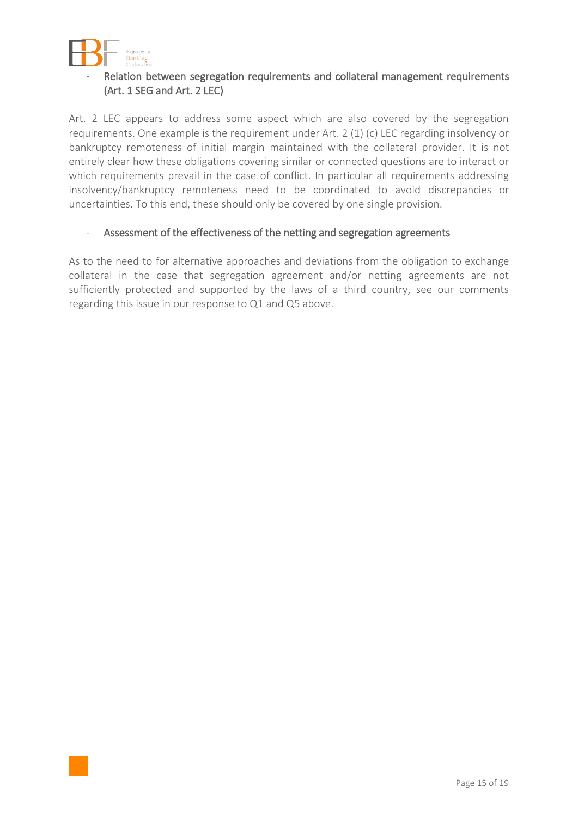

# Relation between segregation requirements and collateral management requirements (Art. 1 SEG and Art. 2 LEC)

Art. 2 LEC appears to address some aspect which are also covered by the segregation requirements. One example is the requirement under Art. 2 (1) (c) LEC regarding insolvency or bankruptcy remoteness of initial margin maintained with the collateral provider. It is not entirely clear how these obligations covering similar or connected questions are to interact or which requirements prevail in the case of conflict. In particular all requirements addressing insolvency/bankruptcy remoteness need to be coordinated to avoid discrepancies or uncertainties. To this end, these should only be covered by one single provision.

#### - Assessment of the effectiveness of the netting and segregation agreements

As to the need to for alternative approaches and deviations from the obligation to exchange collateral in the case that segregation agreement and/or netting agreements are not sufficiently protected and supported by the laws of a third country, see our comments regarding this issue in our response to Q1 and Q5 above.

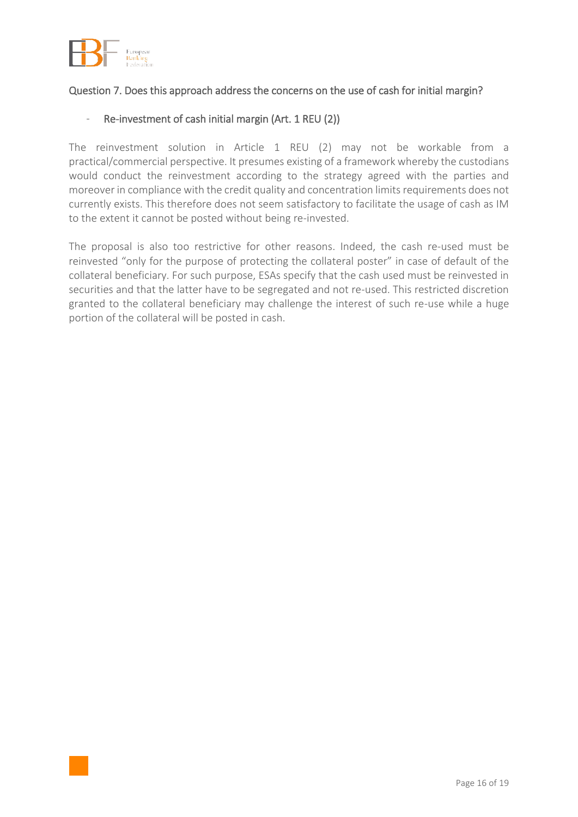

#### Question 7. Does this approach address the concerns on the use of cash for initial margin?

#### - Re-investment of cash initial margin (Art. 1 REU (2))

The reinvestment solution in Article 1 REU (2) may not be workable from a practical/commercial perspective. It presumes existing of a framework whereby the custodians would conduct the reinvestment according to the strategy agreed with the parties and moreover in compliance with the credit quality and concentration limits requirements does not currently exists. This therefore does not seem satisfactory to facilitate the usage of cash as IM to the extent it cannot be posted without being re-invested.

The proposal is also too restrictive for other reasons. Indeed, the cash re-used must be reinvested "only for the purpose of protecting the collateral poster" in case of default of the collateral beneficiary. For such purpose, ESAs specify that the cash used must be reinvested in securities and that the latter have to be segregated and not re-used. This restricted discretion granted to the collateral beneficiary may challenge the interest of such re-use while a huge portion of the collateral will be posted in cash.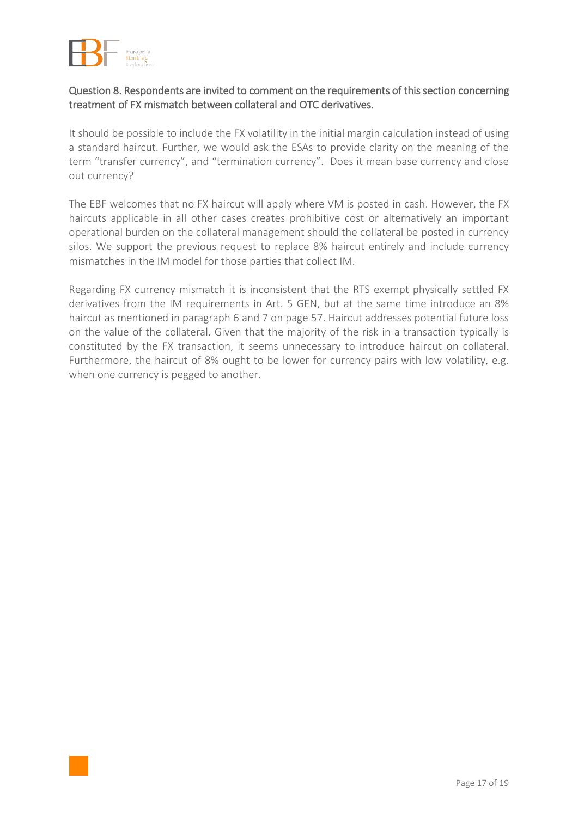

#### Question 8. Respondents are invited to comment on the requirements of this section concerning treatment of FX mismatch between collateral and OTC derivatives.

It should be possible to include the FX volatility in the initial margin calculation instead of using a standard haircut. Further, we would ask the ESAs to provide clarity on the meaning of the term "transfer currency", and "termination currency". Does it mean base currency and close out currency?

The EBF welcomes that no FX haircut will apply where VM is posted in cash. However, the FX haircuts applicable in all other cases creates prohibitive cost or alternatively an important operational burden on the collateral management should the collateral be posted in currency silos. We support the previous request to replace 8% haircut entirely and include currency mismatches in the IM model for those parties that collect IM.

Regarding FX currency mismatch it is inconsistent that the RTS exempt physically settled FX derivatives from the IM requirements in Art. 5 GEN, but at the same time introduce an 8% haircut as mentioned in paragraph 6 and 7 on page 57. Haircut addresses potential future loss on the value of the collateral. Given that the majority of the risk in a transaction typically is constituted by the FX transaction, it seems unnecessary to introduce haircut on collateral. Furthermore, the haircut of 8% ought to be lower for currency pairs with low volatility, e.g. when one currency is pegged to another.

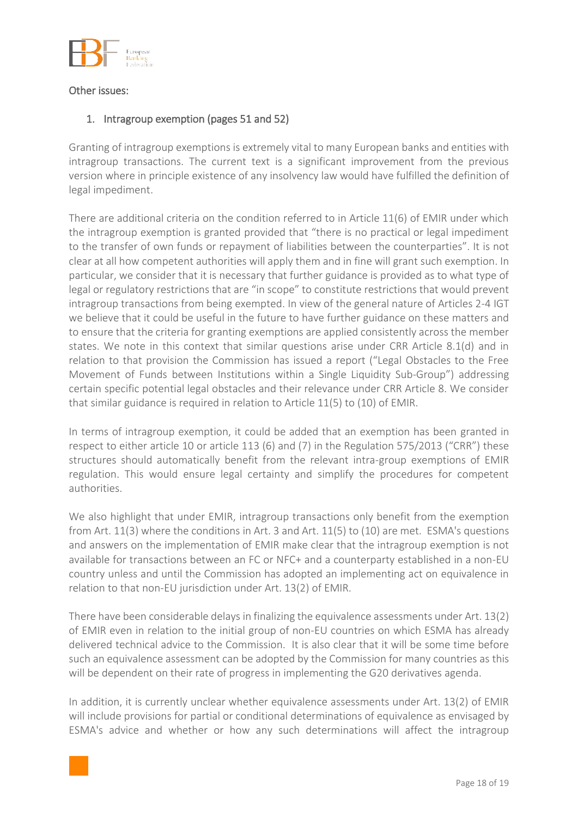

#### Other issues:

## 1. Intragroup exemption (pages 51 and 52)

Granting of intragroup exemptions is extremely vital to many European banks and entities with intragroup transactions. The current text is a significant improvement from the previous version where in principle existence of any insolvency law would have fulfilled the definition of legal impediment.

There are additional criteria on the condition referred to in Article 11(6) of EMIR under which the intragroup exemption is granted provided that "there is no practical or legal impediment to the transfer of own funds or repayment of liabilities between the counterparties". It is not clear at all how competent authorities will apply them and in fine will grant such exemption. In particular, we consider that it is necessary that further guidance is provided as to what type of legal or regulatory restrictions that are "in scope" to constitute restrictions that would prevent intragroup transactions from being exempted. In view of the general nature of Articles 2-4 IGT we believe that it could be useful in the future to have further guidance on these matters and to ensure that the criteria for granting exemptions are applied consistently across the member states. We note in this context that similar questions arise under CRR Article 8.1(d) and in relation to that provision the Commission has issued a report ("Legal Obstacles to the Free Movement of Funds between Institutions within a Single Liquidity Sub-Group") addressing certain specific potential legal obstacles and their relevance under CRR Article 8. We consider that similar guidance is required in relation to Article 11(5) to (10) of EMIR.

In terms of intragroup exemption, it could be added that an exemption has been granted in respect to either article 10 or article 113 (6) and (7) in the Regulation 575/2013 ("CRR") these structures should automatically benefit from the relevant intra-group exemptions of EMIR regulation. This would ensure legal certainty and simplify the procedures for competent authorities.

We also highlight that under EMIR, intragroup transactions only benefit from the exemption from Art. 11(3) where the conditions in Art. 3 and Art. 11(5) to (10) are met. ESMA's questions and answers on the implementation of EMIR make clear that the intragroup exemption is not available for transactions between an FC or NFC+ and a counterparty established in a non-EU country unless and until the Commission has adopted an implementing act on equivalence in relation to that non-EU jurisdiction under Art. 13(2) of EMIR.

There have been considerable delays in finalizing the equivalence assessments under Art. 13(2) of EMIR even in relation to the initial group of non-EU countries on which ESMA has already delivered technical advice to the Commission. It is also clear that it will be some time before such an equivalence assessment can be adopted by the Commission for many countries as this will be dependent on their rate of progress in implementing the G20 derivatives agenda.

In addition, it is currently unclear whether equivalence assessments under Art. 13(2) of EMIR will include provisions for partial or conditional determinations of equivalence as envisaged by ESMA's advice and whether or how any such determinations will affect the intragroup